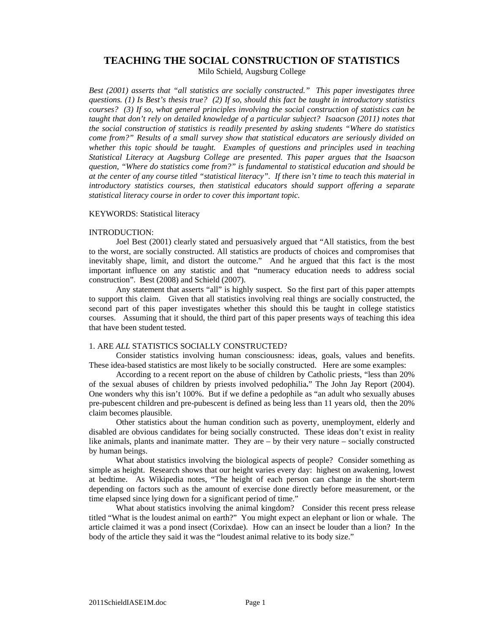# **TEACHING THE SOCIAL CONSTRUCTION OF STATISTICS**

Milo Schield, Augsburg College

*Best (2001) asserts that "all statistics are socially constructed." This paper investigates three questions. (1) Is Best's thesis true? (2) If so, should this fact be taught in introductory statistics courses? (3) If so, what general principles involving the social construction of statistics can be taught that don't rely on detailed knowledge of a particular subject? Isaacson (2011) notes that the social construction of statistics is readily presented by asking students "Where do statistics come from?" Results of a small survey show that statistical educators are seriously divided on whether this topic should be taught. Examples of questions and principles used in teaching Statistical Literacy at Augsburg College are presented. This paper argues that the Isaacson question, "Where do statistics come from?" is fundamental to statistical education and should be at the center of any course titled "statistical literacy". If there isn't time to teach this material in introductory statistics courses, then statistical educators should support offering a separate statistical literacy course in order to cover this important topic.* 

## KEYWORDS: Statistical literacy

## INTRODUCTION:

Joel Best (2001) clearly stated and persuasively argued that "All statistics, from the best to the worst, are socially constructed. All statistics are products of choices and compromises that inevitably shape, limit, and distort the outcome." And he argued that this fact is the most important influence on any statistic and that "numeracy education needs to address social construction". Best (2008) and Schield (2007).

Any statement that asserts "all" is highly suspect. So the first part of this paper attempts to support this claim. Given that all statistics involving real things are socially constructed, the second part of this paper investigates whether this should this be taught in college statistics courses. Assuming that it should, the third part of this paper presents ways of teaching this idea that have been student tested.

# 1. ARE *ALL* STATISTICS SOCIALLY CONSTRUCTED?

Consider statistics involving human consciousness: ideas, goals, values and benefits. These idea-based statistics are most likely to be socially constructed. Here are some examples:

According to a recent report on the abuse of children by Catholic priests, "less than 20% of the sexual abuses of children by priests involved pedophilia**.**" The John Jay Report (2004). One wonders why this isn't 100%. But if we define a pedophile as "an adult who sexually abuses pre-pubescent children and pre-pubescent is defined as being less than 11 years old, then the 20% claim becomes plausible.

Other statistics about the human condition such as poverty, unemployment, elderly and disabled are obvious candidates for being socially constructed. These ideas don't exist in reality like animals, plants and inanimate matter. They are – by their very nature – socially constructed by human beings.

What about statistics involving the biological aspects of people? Consider something as simple as height. Research shows that our height varies every day: highest on awakening, lowest at bedtime. As Wikipedia notes, "The height of each person can change in the short-term depending on factors such as the amount of exercise done directly before measurement, or the time elapsed since lying down for a significant period of time."

What about statistics involving the animal kingdom? Consider this recent press release titled "What is the loudest animal on earth?" You might expect an elephant or lion or whale. The article claimed it was a pond insect (Corixdae). How can an insect be louder than a lion? In the body of the article they said it was the "loudest animal relative to its body size."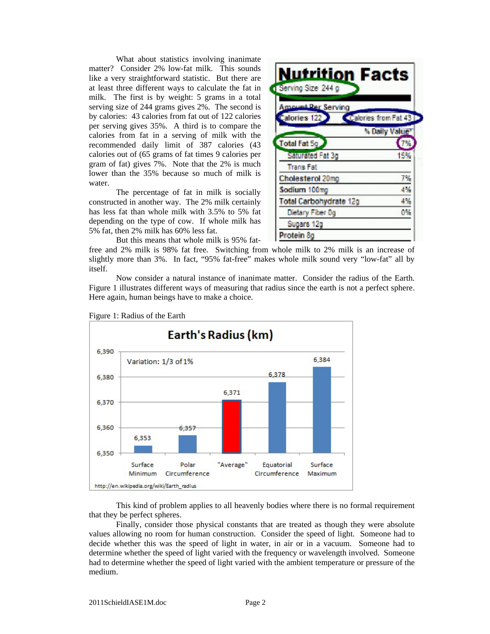What about statistics involving inanimate matter? Consider 2% low-fat milk. This sounds like a very straightforward statistic. But there are at least three different ways to calculate the fat in milk. The first is by weight: 5 grams in a total serving size of 244 grams gives 2%. The second is by calories: 43 calories from fat out of 122 calories per serving gives 35%. A third is to compare the calories from fat in a serving of milk with the recommended daily limit of 387 calories (43 calories out of (65 grams of fat times 9 calories per gram of fat) gives 7%. Note that the 2% is much lower than the 35% because so much of milk is water.

The percentage of fat in milk is socially constructed in another way. The 2% milk certainly has less fat than whole milk with 3.5% to 5% fat depending on the type of cow. If whole milk has 5% fat, then 2% milk has 60% less fat.

But this means that whole milk is 95% fat-

**Nutrition Facts** Serving Size 244 g **Amount Per Serving** alories<sub>12</sub> Calories from Fat 43 % Daily Value **Total Fat So Saturated Fat 3g** 15% **Trans Fat** Cholesterol 20mg 7% 4% Sodium 100mg **Total Carbohydrate 12g** 4% 0% Dietary Fiber Og Sugars 12g Protein 8g

free and 2% milk is 98% fat free. Switching from whole milk to 2% milk is an increase of slightly more than 3%. In fact, "95% fat-free" makes whole milk sound very "low-fat" all by itself.

Now consider a natural instance of inanimate matter. Consider the radius of the Earth. Figure 1 illustrates different ways of measuring that radius since the earth is not a perfect sphere. Here again, human beings have to make a choice.



Figure 1: Radius of the Earth

This kind of problem applies to all heavenly bodies where there is no formal requirement that they be perfect spheres.

Finally, consider those physical constants that are treated as though they were absolute values allowing no room for human construction. Consider the speed of light. Someone had to decide whether this was the speed of light in water, in air or in a vacuum. Someone had to determine whether the speed of light varied with the frequency or wavelength involved. Someone had to determine whether the speed of light varied with the ambient temperature or pressure of the medium.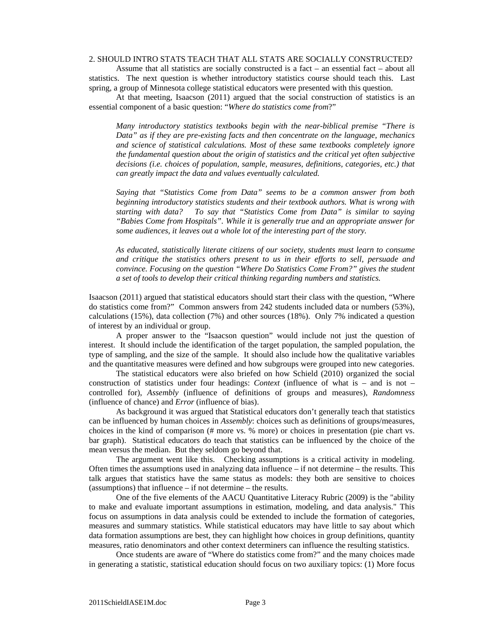## 2. SHOULD INTRO STATS TEACH THAT ALL STATS ARE SOCIALLY CONSTRUCTED?

Assume that all statistics are socially constructed is a fact – an essential fact – about all statistics. The next question is whether introductory statistics course should teach this. Last spring, a group of Minnesota college statistical educators were presented with this question.

At that meeting, Isaacson (2011) argued that the social construction of statistics is an essential component of a basic question: "*Where do statistics come from*?"

*Many introductory statistics textbooks begin with the near-biblical premise "There is Data" as if they are pre-existing facts and then concentrate on the language, mechanics and science of statistical calculations. Most of these same textbooks completely ignore the fundamental question about the origin of statistics and the critical yet often subjective decisions (i.e. choices of population, sample, measures, definitions, categories, etc.) that can greatly impact the data and values eventually calculated.* 

*Saying that "Statistics Come from Data" seems to be a common answer from both beginning introductory statistics students and their textbook authors. What is wrong with starting with data? To say that "Statistics Come from Data" is similar to saying "Babies Come from Hospitals". While it is generally true and an appropriate answer for some audiences, it leaves out a whole lot of the interesting part of the story.* 

*As educated, statistically literate citizens of our society, students must learn to consume and critique the statistics others present to us in their efforts to sell, persuade and convince. Focusing on the question "Where Do Statistics Come From?" gives the student a set of tools to develop their critical thinking regarding numbers and statistics.* 

Isaacson (2011) argued that statistical educators should start their class with the question, "Where do statistics come from?" Common answers from 242 students included data or numbers (53%), calculations (15%), data collection (7%) and other sources (18%). Only 7% indicated a question of interest by an individual or group.

A proper answer to the "Isaacson question" would include not just the question of interest. It should include the identification of the target population, the sampled population, the type of sampling, and the size of the sample. It should also include how the qualitative variables and the quantitative measures were defined and how subgroups were grouped into new categories.

The statistical educators were also briefed on how Schield (2010) organized the social construction of statistics under four headings: *Context* (influence of what is – and is not – controlled for), *Assembly* (influence of definitions of groups and measures), *Randomness* (influence of chance) and *Error* (influence of bias).

As background it was argued that Statistical educators don't generally teach that statistics can be influenced by human choices in *Assembly*: choices such as definitions of groups/measures, choices in the kind of comparison (# more vs. % more) or choices in presentation (pie chart vs. bar graph). Statistical educators do teach that statistics can be influenced by the choice of the mean versus the median. But they seldom go beyond that.

The argument went like this. Checking assumptions is a critical activity in modeling. Often times the assumptions used in analyzing data influence  $-$  if not determine  $-$  the results. This talk argues that statistics have the same status as models: they both are sensitive to choices (assumptions) that influence – if not determine – the results.

One of the five elements of the AACU Quantitative Literacy Rubric (2009) is the "ability to make and evaluate important assumptions in estimation, modeling, and data analysis." This focus on assumptions in data analysis could be extended to include the formation of categories, measures and summary statistics. While statistical educators may have little to say about which data formation assumptions are best, they can highlight how choices in group definitions, quantity measures, ratio denominators and other context determiners can influence the resulting statistics.

Once students are aware of "Where do statistics come from?" and the many choices made in generating a statistic, statistical education should focus on two auxiliary topics: (1) More focus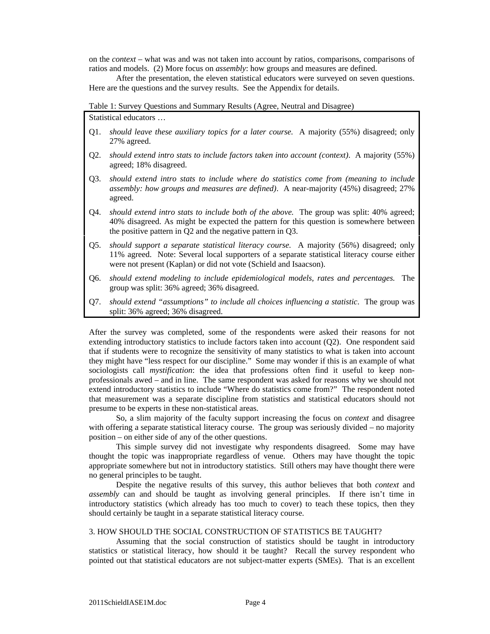on the *context* – what was and was not taken into account by ratios, comparisons, comparisons of ratios and models. (2) More focus on *assembly*: how groups and measures are defined.

After the presentation, the eleven statistical educators were surveyed on seven questions. Here are the questions and the survey results. See the Appendix for details.

Table 1: Survey Questions and Summary Results (Agree, Neutral and Disagree)

Statistical educators …

- Q1. *should leave these auxiliary topics for a later course.* A majority (55%) disagreed; only 27% agreed.
- Q2. *should extend intro stats to include factors taken into account (context)*. A majority (55%) agreed; 18% disagreed.
- Q3. *should extend intro stats to include where do statistics come from (meaning to include assembly: how groups and measures are defined)*. A near-majority (45%) disagreed; 27% agreed.
- Q4. *should extend intro stats to include both of the above.* The group was split: 40% agreed; 40% disagreed. As might be expected the pattern for this question is somewhere between the positive pattern in Q2 and the negative pattern in Q3.
- Q5. *should support a separate statistical literacy course.* A majority (56%) disagreed; only 11% agreed. Note: Several local supporters of a separate statistical literacy course either were not present (Kaplan) or did not vote (Schield and Isaacson).
- Q6. *should extend modeling to include epidemiological models, rates and percentages.* The group was split: 36% agreed; 36% disagreed.
- Q7. *should extend "assumptions" to include all choices influencing a statistic*. The group was split: 36% agreed; 36% disagreed.

After the survey was completed, some of the respondents were asked their reasons for not extending introductory statistics to include factors taken into account (Q2). One respondent said that if students were to recognize the sensitivity of many statistics to what is taken into account they might have "less respect for our discipline." Some may wonder if this is an example of what sociologists call *mystification*: the idea that professions often find it useful to keep nonprofessionals awed – and in line. The same respondent was asked for reasons why we should not extend introductory statistics to include "Where do statistics come from?" The respondent noted that measurement was a separate discipline from statistics and statistical educators should not presume to be experts in these non-statistical areas.

So, a slim majority of the faculty support increasing the focus on *context* and disagree with offering a separate statistical literacy course. The group was seriously divided – no majority position – on either side of any of the other questions.

This simple survey did not investigate why respondents disagreed. Some may have thought the topic was inappropriate regardless of venue. Others may have thought the topic appropriate somewhere but not in introductory statistics. Still others may have thought there were no general principles to be taught.

Despite the negative results of this survey, this author believes that both *context* and *assembly* can and should be taught as involving general principles. If there isn't time in introductory statistics (which already has too much to cover) to teach these topics, then they should certainly be taught in a separate statistical literacy course.

## 3. HOW SHOULD THE SOCIAL CONSTRUCTION OF STATISTICS BE TAUGHT?

Assuming that the social construction of statistics should be taught in introductory statistics or statistical literacy, how should it be taught? Recall the survey respondent who pointed out that statistical educators are not subject-matter experts (SMEs). That is an excellent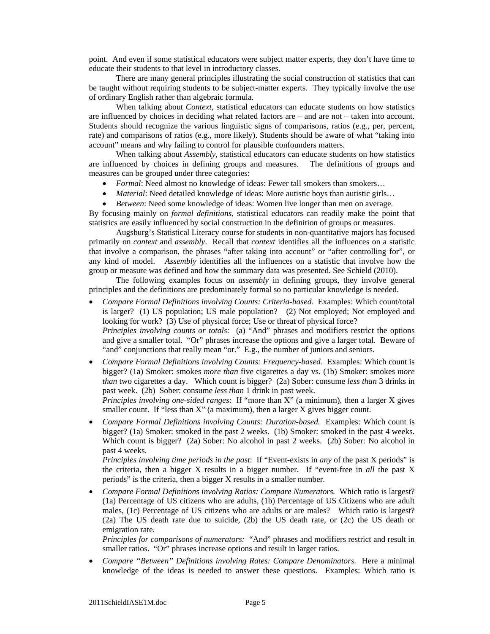point. And even if some statistical educators were subject matter experts, they don't have time to educate their students to that level in introductory classes.

There are many general principles illustrating the social construction of statistics that can be taught without requiring students to be subject-matter experts. They typically involve the use of ordinary English rather than algebraic formula.

When talking about *Context*, statistical educators can educate students on how statistics are influenced by choices in deciding what related factors are – and are not – taken into account. Students should recognize the various linguistic signs of comparisons, ratios (e.g., per, percent, rate) and comparisons of ratios (e.g., more likely). Students should be aware of what "taking into account" means and why failing to control for plausible confounders matters.

When talking about *Assembly*, statistical educators can educate students on how statistics are influenced by choices in defining groups and measures. The definitions of groups and measures can be grouped under three categories:

- *Formal*: Need almost no knowledge of ideas: Fewer tall smokers than smokers...
- *Material*: Need detailed knowledge of ideas: More autistic boys than autistic girls…
- *Between*: Need some knowledge of ideas: Women live longer than men on average.

By focusing mainly on *formal definitions*, statistical educators can readily make the point that statistics are easily influenced by social construction in the definition of groups or measures.

Augsburg's Statistical Literacy course for students in non-quantitative majors has focused primarily on *context* and *assembly*. Recall that *context* identifies all the influences on a statistic that involve a comparison, the phrases "after taking into account" or "after controlling for", or any kind of model. *Assembly* identifies all the influences on a statistic that involve how the group or measure was defined and how the summary data was presented. See Schield (2010).

The following examples focus on *assembly* in defining groups, they involve general principles and the definitions are predominately formal so no particular knowledge is needed.

 *Compare Formal Definitions involving Counts: Criteria-based.* Examples: Which count/total is larger? (1) US population; US male population? (2) Not employed; Not employed and looking for work? (3) Use of physical force; Use or threat of physical force? *Principles involving counts or totals:* (a) "And" phrases and modifiers restrict the options and give a smaller total. "Or" phrases increase the options and give a larger total. Beware of

"and" conjunctions that really mean "or." E.g., the number of juniors and seniors.

 *Compare Formal Definitions involving Counts: Frequency-based.* Examples: Which count is bigger? (1a) Smoker: smokes *more than* five cigarettes a day vs. (1b) Smoker: smokes *more than* two cigarettes a day. Which count is bigger? (2a) Sober: consume *less than* 3 drinks in past week. (2b) Sober: consume *less than* 1 drink in past week.

*Principles involving one-sided ranges*: If "more than X" (a minimum), then a larger X gives smaller count. If "less than X" (a maximum), then a larger X gives bigger count.

 *Compare Formal Definitions involving Counts: Duration-based.* Examples: Which count is bigger? (1a) Smoker: smoked in the past 2 weeks. (1b) Smoker: smoked in the past 4 weeks. Which count is bigger? (2a) Sober: No alcohol in past 2 weeks. (2b) Sober: No alcohol in past 4 weeks.

*Principles involving time periods in the past*: If "Event-exists in *any* of the past X periods" is the criteria, then a bigger X results in a bigger number. If "event-free in *all* the past X periods" is the criteria, then a bigger X results in a smaller number.

 *Compare Formal Definitions involving Ratios: Compare Numerators.* Which ratio is largest? (1a) Percentage of US citizens who are adults, (1b) Percentage of US Citizens who are adult males, (1c) Percentage of US citizens who are adults or are males? Which ratio is largest? (2a) The US death rate due to suicide, (2b) the US death rate, or (2c) the US death or emigration rate.

*Principles for comparisons of numerators:* "And" phrases and modifiers restrict and result in smaller ratios. "Or" phrases increase options and result in larger ratios.

 *Compare "Between" Definitions involving Rates: Compare Denominators*. Here a minimal knowledge of the ideas is needed to answer these questions. Examples: Which ratio is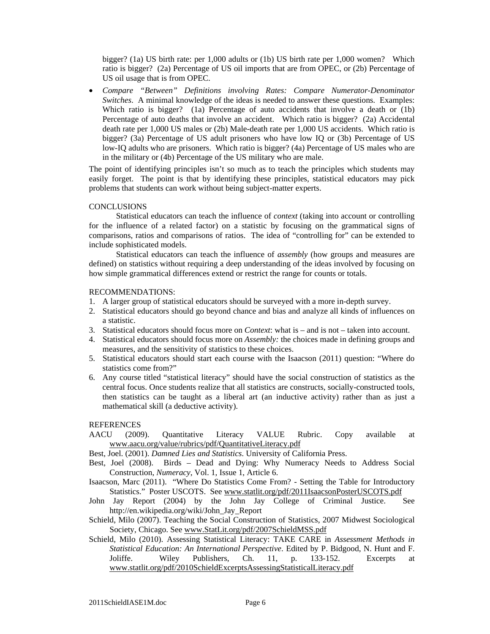bigger? (1a) US birth rate: per 1,000 adults or (1b) US birth rate per 1,000 women? Which ratio is bigger? (2a) Percentage of US oil imports that are from OPEC, or (2b) Percentage of US oil usage that is from OPEC.

 *Compare "Between" Definitions involving Rates: Compare Numerator-Denominator Switches*. A minimal knowledge of the ideas is needed to answer these questions. Examples: Which ratio is bigger? (1a) Percentage of auto accidents that involve a death or (1b) Percentage of auto deaths that involve an accident. Which ratio is bigger? (2a) Accidental death rate per 1,000 US males or (2b) Male-death rate per 1,000 US accidents. Which ratio is bigger? (3a) Percentage of US adult prisoners who have low IQ or (3b) Percentage of US low-IQ adults who are prisoners. Which ratio is bigger? (4a) Percentage of US males who are in the military or (4b) Percentage of the US military who are male.

The point of identifying principles isn't so much as to teach the principles which students may easily forget. The point is that by identifying these principles, statistical educators may pick problems that students can work without being subject-matter experts.

## **CONCLUSIONS**

Statistical educators can teach the influence of *context* (taking into account or controlling for the influence of a related factor) on a statistic by focusing on the grammatical signs of comparisons, ratios and comparisons of ratios. The idea of "controlling for" can be extended to include sophisticated models.

Statistical educators can teach the influence of *assembly* (how groups and measures are defined) on statistics without requiring a deep understanding of the ideas involved by focusing on how simple grammatical differences extend or restrict the range for counts or totals.

#### RECOMMENDATIONS:

- 1. A larger group of statistical educators should be surveyed with a more in-depth survey.
- 2. Statistical educators should go beyond chance and bias and analyze all kinds of influences on a statistic.
- 3. Statistical educators should focus more on *Context*: what is and is not taken into account.
- 4. Statistical educators should focus more on *Assembly:* the choices made in defining groups and measures, and the sensitivity of statistics to these choices.
- 5. Statistical educators should start each course with the Isaacson (2011) question: "Where do statistics come from?"
- 6. Any course titled "statistical literacy" should have the social construction of statistics as the central focus. Once students realize that all statistics are constructs, socially-constructed tools, then statistics can be taught as a liberal art (an inductive activity) rather than as just a mathematical skill (a deductive activity).

#### REFERENCES

- AACU (2009). Quantitative Literacy VALUE Rubric. Copy available at www.aacu.org/value/rubrics/pdf/QuantitativeLiteracy.pdf
- Best, Joel. (2001). *Damned Lies and Statistics*. University of California Press.
- Best, Joel (2008). Birds Dead and Dying: Why Numeracy Needs to Address Social Construction, *Numeracy*, Vol. 1, Issue 1, Article 6.
- Isaacson, Marc (2011). "Where Do Statistics Come From? Setting the Table for Introductory Statistics." Poster USCOTS. See www.statlit.org/pdf/2011IsaacsonPosterUSCOTS.pdf
- John Jay Report (2004) by the John Jay College of Criminal Justice. See http://en.wikipedia.org/wiki/John\_Jay\_Report
- Schield, Milo (2007). Teaching the Social Construction of Statistics, 2007 Midwest Sociological Society, Chicago. See www.StatLit.org/pdf/2007SchieldMSS.pdf
- Schield, Milo (2010). Assessing Statistical Literacy: TAKE CARE in *Assessment Methods in Statistical Education: An International Perspective*. Edited by P. Bidgood, N. Hunt and F. Joliffe. Wiley Publishers, Ch. 11, p. 133-152. Excerpts at www.statlit.org/pdf/2010SchieldExcerptsAssessingStatisticalLiteracy.pdf